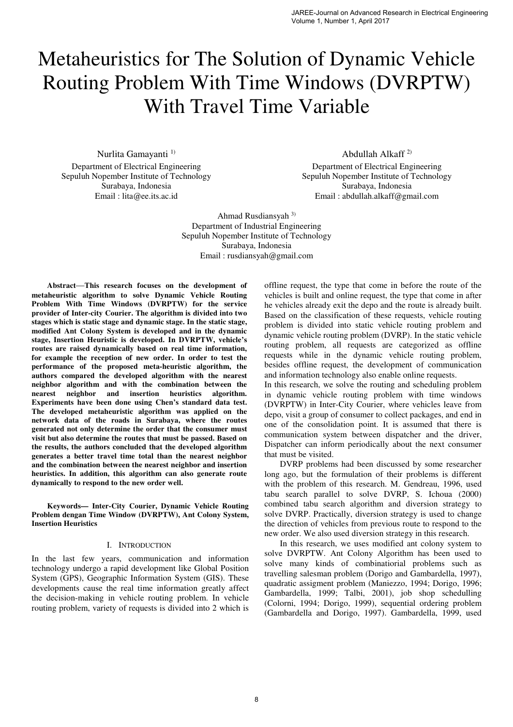# Metaheuristics for The Solution of Dynamic Vehicle Routing Problem With Time Windows (DVRPTW) With Travel Time Variable

Nurlita Gamayanti<sup>1)</sup> Department of Electrical Engineering Sepuluh Nopember Institute of Technology Surabaya, Indonesia Email : lita@ee.its.ac.id

Abdullah Alkaff 2)

Department of Electrical Engineering Sepuluh Nopember Institute of Technology Surabaya, Indonesia Email : abdullah.alkaff@gmail.com

Ahmad Rusdiansyah 3) Department of Industrial Engineering Sepuluh Nopember Institute of Technology Surabaya, Indonesia Email : rusdiansyah@gmail.com

**Abstract**—**This research focuses on the development of metaheuristic algorithm to solve Dynamic Vehicle Routing Problem With Time Windows (DVRPTW) for the service provider of Inter-city Courier. The algorithm is divided into two stages which is static stage and dynamic stage. In the static stage, modified Ant Colony System is developed and in the dynamic stage, Insertion Heuristic is developed. In DVRPTW, vehicle's routes are raised dynamically based on real time information, for example the reception of new order. In order to test the performance of the proposed meta-heuristic algorithm, the authors compared the developed algorithm with the nearest neighbor algorithm and with the combination between the nearest neighbor and insertion heuristics algorithm. Experiments have been done using Chen's standard data test. The developed metaheuristic algorithm was applied on the network data of the roads in Surabaya, where the routes generated not only determine the order that the consumer must visit but also determine the routes that must be passed. Based on the results, the authors concluded that the developed algorithm generates a better travel time total than the nearest neighbor and the combination between the nearest neighbor and insertion heuristics. In addition, this algorithm can also generate route dynamically to respond to the new order well.** 

**Keywords— Inter-City Courier, Dynamic Vehicle Routing Problem dengan Time Window (DVRPTW), Ant Colony System, Insertion Heuristics** 

# I. INTRODUCTION

In the last few years, communication and information technology undergo a rapid development like Global Position System (GPS), Geographic Information System (GIS). These developments cause the real time information greatly affect the decision-making in vehicle routing problem. In vehicle routing problem, variety of requests is divided into 2 which is

offline request, the type that come in before the route of the vehicles is built and online request, the type that come in after he vehicles already exit the depo and the route is already built. Based on the classification of these requests, vehicle routing problem is divided into static vehicle routing problem and dynamic vehicle routing problem (DVRP). In the static vehicle routing problem, all requests are categorized as offline requests while in the dynamic vehicle routing problem, besides offline request, the development of communication and information technology also enable online requests.

In this research, we solve the routing and scheduling problem in dynamic vehicle routing problem with time windows (DVRPTW) in Inter-City Courier, where vehicles leave from depo, visit a group of consumer to collect packages, and end in one of the consolidation point. It is assumed that there is communication system between dispatcher and the driver, Dispatcher can inform periodically about the next consumer that must be visited.

DVRP problems had been discussed by some researcher long ago, but the formulation of their problems is different with the problem of this research. M. Gendreau, 1996, used tabu search parallel to solve DVRP, S. Ichoua (2000) combined tabu search algorithm and diversion strategy to solve DVRP. Practically, diversion strategy is used to change the direction of vehicles from previous route to respond to the new order. We also used diversion strategy in this research.

In this research, we uses modified ant colony system to solve DVRPTW. Ant Colony Algorithm has been used to solve many kinds of combinatiorial problems such as travelling salesman problem (Dorigo and Gambardella, 1997), quadratic assigment problem (Maniezzo, 1994; Dorigo, 1996; Gambardella, 1999; Talbi, 2001), job shop schedulling (Colorni, 1994; Dorigo, 1999), sequential ordering problem (Gambardella and Dorigo, 1997). Gambardella, 1999, used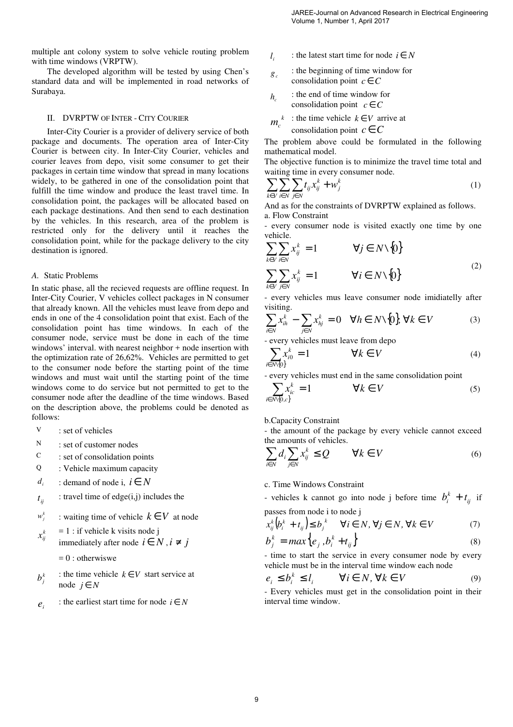multiple ant colony system to solve vehicle routing problem with time windows (VRPTW).

The developed algorithm will be tested by using Chen's standard data and will be implemented in road networks of Surabaya.

## II. DVRPTW OF INTER - CITY COURIER

Inter-City Courier is a provider of delivery service of both package and documents. The operation area of Inter-City Courier is between city. In Inter-City Courier, vehicles and courier leaves from depo, visit some consumer to get their packages in certain time window that spread in many locations widely, to be gathered in one of the consolidation point that fulfill the time window and produce the least travel time. In consolidation point, the packages will be allocated based on each package destinations. And then send to each destination by the vehicles. In this research, area of the problem is restricted only for the delivery until it reaches the consolidation point, while for the package delivery to the city destination is ignored.

#### *A.* Static Problems

In static phase, all the recieved requests are offline request. In Inter-City Courier, V vehicles collect packages in N consumer that already known. All the vehicles must leave from depo and ends in one of the 4 consolidation point that exist. Each of the consolidation point has time windows. In each of the consumer node, service must be done in each of the time windows' interval. with nearest neighbor + node insertion with the optimization rate of 26,62%. Vehicles are permitted to get to the consumer node before the starting point of the time windows and must wait until the starting point of the time windows come to do service but not permitted to get to the consumer node after the deadline of the time windows. Based on the description above, the problems could be denoted as follows:

- V : set of vehicles
- N : set of customer nodes
- $C \qquad : set \text{ of } \text{considering points}$
- Q : Vehicle maximum capacity
- $d_i$ : demand of node i,  $i \in N$
- $t_{ii}$ : travel time of edge(i,j) includes the
- $w_j^k$  : waiting time of vehicle  $k \in V$  at node
- $x_{ij}^k$ = 1 : if vehicle k visits node j
- immediately after node  $i \in N$ ,  $i \neq j$

 $= 0$  : otherwiswe

- $b_j^k$ : the time vehicle  $k \in V$  start service at node  $j \in N$
- *i* : the earliest start time for node  $i \in N$
- *i l* : the latest start time for node  $i ∈ N$
- *c g* : the beginning of time window for consolidation point  $c \in C$
- $h_c$ : the end of time window for consolidation point  $c \in C$
- $m_c^k$  : the time vehicle  $k \in V$  arrive at
- consolidation point  $c \in C$

The problem above could be formulated in the following mathematical model.

The objective function is to minimize the travel time total and waiting time in every consumer node.

$$
\sum_{k \in V} \sum_{i \in N} \sum_{j \in N} t_{ij} x_{ij}^k + w_j^k \tag{1}
$$

And as for the constraints of DVRPTW explained as follows.

a. Flow Constraint

- every consumer node is visited exactly one time by one vehicle.

$$
\sum_{k \in V} \sum_{i \in N} x_{ij}^{k} = 1 \qquad \forall j \in N \setminus \{0\}
$$
\n
$$
\sum_{k \in V} \sum_{j \in N} x_{ij}^{k} = 1 \qquad \forall i \in N \setminus \{0\}
$$
\n
$$
(2)
$$

- every vehicles mus leave consumer node imidiatelly after visiting.

$$
\sum_{i \in N} x_{ih}^k - \sum_{j \in N} x_{hj}^k = 0 \quad \forall h \in N \setminus \{0\}, \,\forall k \in V \tag{3}
$$

- every vehicles must leave from depo

$$
\sum_{i \in N \setminus \{0\}} x_{i0}^k = 1 \qquad \forall k \in V \tag{4}
$$

- every vehicles must end in the same consolidation point

$$
\sum_{i \in N \setminus \{0,c\}} x_{ic}^k = 1 \qquad \forall k \in V \tag{5}
$$

#### b.Capacity Constraint

- the amount of the package by every vehicle cannot exceed the amounts of vehicles.

$$
\sum_{i \in N} d_i \sum_{j \in N} x_{ij}^k \le Q \qquad \forall k \in V \tag{6}
$$

# c. Time Windows Constraint

- vehicles k cannot go into node j before time  $b_i^k + t_{ij}$  if passes from node i to node j

$$
\left[x_{ij}^{k}\left(b_{i}^{k}+t_{ij}\right)\leq b_{j}^{k}\quad\forall i\in N,\,\forall j\in N,\,\forall k\in V\right]
$$
\n(7)

$$
b_j^k = max\{e_j, b_i^k + t_{ij}\}\tag{8}
$$

- time to start the service in every consumer node by every vehicle must be in the interval time window each node

$$
e_i \le b_i^k \le l_i \qquad \forall i \in N, \forall k \in V \tag{9}
$$

- Every vehicles must get in the consolidation point in their interval time window.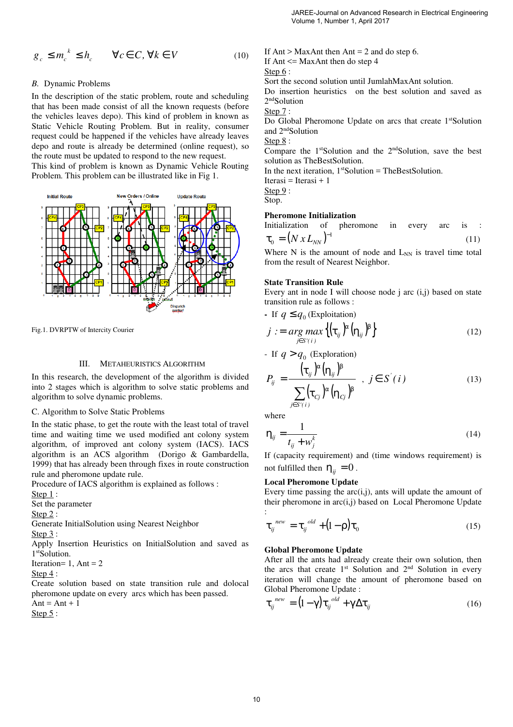$$
g_c \le m_c^k \le h_c \qquad \forall c \in C, \forall k \in V \tag{10}
$$

## *B.* Dynamic Problems

In the description of the static problem, route and scheduling that has been made consist of all the known requests (before the vehicles leaves depo). This kind of problem in known as Static Vehicle Routing Problem. But in reality, consumer request could be happened if the vehicles have already leaves depo and route is already be determined (online request), so the route must be updated to respond to the new request. This kind of problem is known as Dynamic Vehicle Routing

Problem. This problem can be illustrated like in Fig 1.



Fig.1. DVRPTW of Intercity Courier

#### III. METAHEURISTICS ALGORITHM

In this research, the development of the algorithm is divided into 2 stages which is algorithm to solve static problems and algorithm to solve dynamic problems.

#### C. Algorithm to Solve Static Problems

In the static phase, to get the route with the least total of travel time and waiting time we used modified ant colony system algorithm, of improved ant colony system (IACS). IACS algorithm is an ACS algorithm (Dorigo & Gambardella, 1999) that has already been through fixes in route construction rule and pheromone update rule.

Procedure of IACS algorithm is explained as follows :

Step 1:

Set the parameter

Step 2 :

Generate InitialSolution using Nearest Neighbor

Step 3 :

Apply Insertion Heuristics on InitialSolution and saved as 1 stSolution.

Iteration=  $1$ , Ant =  $2$ 

Step 4 :

Create solution based on state transition rule and dolocal pheromone update on every arcs which has been passed. Ant =  $Ant + 1$ 

Step 5:

JAREE-Journal on Advanced Research in Electrical Engineering Volume 1, Number 1, April 2017

If  $Ant > MaxAnt$  then  $Ant = 2$  and do step 6. If Ant  $\leq$  MaxAnt then do step 4

Step 6 :

Sort the second solution until JumlahMaxAnt solution.

Do insertion heuristics on the best solution and saved as 2<sup>nd</sup>Solution

Step 7 :

Do Global Pheromone Update on arcs that create 1<sup>st</sup>Solution and 2<sup>nd</sup>Solution

Step  $8:$ 

Compare the  $1<sup>st</sup>$ Solution and the  $2<sup>nd</sup>$ Solution, save the best solution as TheBestSolution.

In the next iteration,  $1<sup>st</sup>Solution = The BestSolution.$ 

Iterasi = Iterasi + 1

Step  $9:$ 

Stop.

# **Pheromone Initialization**

Initialization of pheromone in every arc is :  $(NxL_{_{NN}})^{-1}$  $\tau_0 = (N x L_{NN})^{-1}$  (11)

0 Where N is the amount of node and  $L_{NN}$  is travel time total from the result of Nearest Neighbor.

#### **State Transition Rule**

Every ant in node I will choose node  $\mathbf{j}$  arc  $(i, \mathbf{j})$  based on state transition rule as follows :

**-** If  $q \leq q_0$  (Exploitation)

$$
j := \underset{j \in S'(i)}{\arg \max} \left\{ \left( \tau_{ij} \right)^{\alpha} \left( \eta_{ij} \right)^{\beta} \right\} \tag{12}
$$

- If 
$$
q > q_0
$$
 (Exploration)

$$
P_{ij} = \frac{(\tau_{ij})^{\alpha} (\eta_{ij})^{\beta}}{\sum_{j \in S'(i)} (\tau_{Cj})^{\alpha} (\eta_{Cj})^{\beta}}, \quad j \in S'(i)
$$
 (13)

where

$$
\eta_{ij} = \frac{1}{t_{ij} + w_j^k} \tag{14}
$$

If (capacity requirement) and (time windows requirement) is not fulfilled then  $\eta_{ii} = 0$ .

#### **Local Pheromone Update**

Every time passing the  $arc(i,j)$ , ants will update the amount of their pheromone in arc(i,j) based on Local Pheromone Update :

$$
\tau_{ij}^{new} = \tau_{ij}^{old} + (1 - \rho)\tau_0
$$
\n(15)

# **Global Pheromone Update**

After all the ants had already create their own solution, then the arcs that create  $1<sup>st</sup>$  Solution and  $2<sup>nd</sup>$  Solution in every iteration will change the amount of pheromone based on Global Pheromone Update :

$$
\tau_{ij}^{new} = (1 - \gamma) \tau_{ij}^{old} + \gamma \Delta \tau_{ij}
$$
\n(16)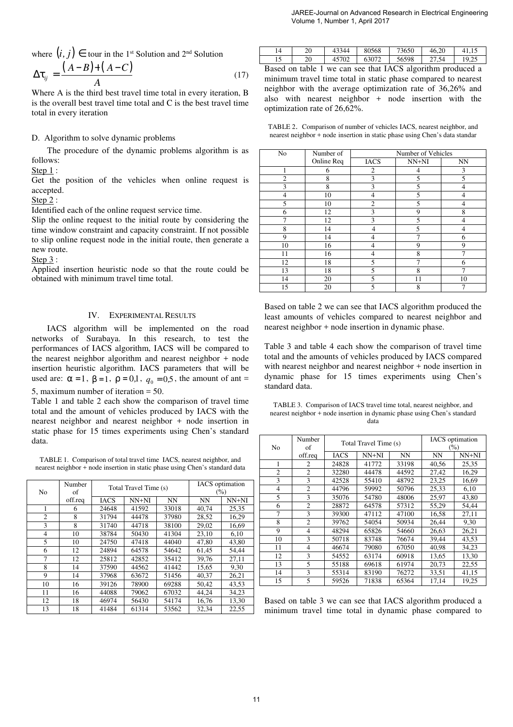where  $(i, j) \in$  tour in the 1<sup>st</sup> Solution and 2<sup>nd</sup> Solution

$$
\Delta \tau_{ij} = \frac{(A-B)+(A-C)}{A} \tag{17}
$$

Where A is the third best travel time total in every iteration, B is the overall best travel time total and C is the best travel time total in every iteration

D. Algorithm to solve dynamic problems

The procedure of the dynamic problems algorithm is as follows:

Step 1 :

Get the position of the vehicles when online request is accepted.

Step 2 :

Identified each of the online request service time.

Slip the online request to the initial route by considering the time window constraint and capacity constraint. If not possible to slip online request node in the initial route, then generate a new route.

Step 3 :

Applied insertion heuristic node so that the route could be obtained with minimum travel time total.

# IV. EXPERIMENTAL RESULTS

IACS algorithm will be implemented on the road networks of Surabaya. In this research, to test the performances of IACS algorithm, IACS will be compared to the nearest neighbor algorithm and nearest neighbor + node insertion heuristic algorithm. IACS parameters that will be used are:  $\alpha = 1$ ,  $\beta = 1$ ,  $\rho = 0.1$ ,  $q_0 = 0.5$ , the amount of ant = 5, maximum number of iteration = 50.

Table 1 and table 2 each show the comparison of travel time total and the amount of vehicles produced by IACS with the nearest neighbor and nearest neighbor + node insertion in static phase for 15 times experiments using Chen's standard data.

TABLE 1. Comparison of total travel time IACS, nearest neighbor, and nearest neighbor + node insertion in static phase using Chen's standard data

| Number<br>N <sub>0</sub><br>of |         | Total Travel Time (s) |         |           | <b>IACS</b> optimation<br>(%) |         |
|--------------------------------|---------|-----------------------|---------|-----------|-------------------------------|---------|
|                                | off.req | <b>IACS</b>           | $NN+NI$ | <b>NN</b> | <b>NN</b>                     | $NN+NI$ |
| 1                              | 6       | 24648                 | 41592   | 33018     | 40,74                         | 25,35   |
| $\overline{2}$                 | 8       | 31794                 | 44478   | 37980     | 28,52                         | 16,29   |
| 3                              | 8       | 31740                 | 44718   | 38100     | 29,02                         | 16,69   |
| 4                              | 10      | 38784                 | 50430   | 41304     | 23,10                         | 6,10    |
| 5                              | 10      | 24750                 | 47418   | 44040     | 47,80                         | 43,80   |
| 6                              | 12      | 24894                 | 64578   | 54642     | 61,45                         | 54,44   |
| 7                              | 12      | 25812                 | 42852   | 35412     | 39.76                         | 27,11   |
| 8                              | 14      | 37590                 | 44562   | 41442     | 15,65                         | 9,30    |
| 9                              | 14      | 37968                 | 63672   | 51456     | 40.37                         | 26,21   |
| 10                             | 16      | 39126                 | 78900   | 69288     | 50.42                         | 43,53   |
| 11                             | 16      | 44088                 | 79062   | 67032     | 44,24                         | 34,23   |
| 12                             | 18      | 46974                 | 56430   | 54174     | 16,76                         | 13,30   |
| 13                             | 18      | 41484                 | 61314   | 53562     | 32.34                         | 22,55   |

| $\overline{A}$                | 20 | 344             | 80568         | $\mathbf{z} \cdot \mathbf{z}$<br>3650 | 46,20 | .                |
|-------------------------------|----|-----------------|---------------|---------------------------------------|-------|------------------|
| . .                           | 20 | 5700<br>∪∠<br>τ | 2072<br>63072 | 56598                                 | 54    | $\Delta$<br>رے د |
| $\sqrt{2}$<br>1.1<br>∍<br>. . |    |                 |               |                                       |       |                  |

Based on table 1 we can see that IACS algorithm produced a minimum travel time total in static phase compared to nearest neighbor with the average optimization rate of 36,26% and also with nearest neighbor + node insertion with the optimization rate of 26,62%.

TABLE 2. Comparison of number of vehicles IACS, nearest neighbor, and nearest neighbor + node insertion in static phase using Chen's data standar

| No             | Number of  | Number of Vehicles |         |                |  |  |
|----------------|------------|--------------------|---------|----------------|--|--|
|                | Online Req | <b>IACS</b>        | $NN+NI$ | <b>NN</b>      |  |  |
| 1              | 6          | 2                  | 4       | 3              |  |  |
| $\overline{c}$ | 8          | 3                  | 5       | 5              |  |  |
| 3              | 8          | 3                  | 5       | 4              |  |  |
| $\overline{4}$ | 10         | 4                  | 5       | 4              |  |  |
| 5              | 10         | $\overline{2}$     | 5       | 4              |  |  |
| 6              | 12         | 3                  | 9       | 8              |  |  |
|                | 12         | 3                  | 5       | 4              |  |  |
| 8              | 14         | 4                  | 5       | 4              |  |  |
| 9              | 14         | 4                  | 7       | 6              |  |  |
| 10             | 16         | 4                  | 9       | $\mathbf Q$    |  |  |
| 11             | 16         | 4                  | 8       | $\overline{7}$ |  |  |
| 12             | 18         | 5                  | 7       | 6              |  |  |
| 13             | 18         | 5                  | 8       |                |  |  |
| 14             | 20         | 5                  | 11      | 10             |  |  |
| 15             | 20         | 5                  | 8       |                |  |  |

Based on table 2 we can see that IACS algorithm produced the least amounts of vehicles compared to nearest neighbor and nearest neighbor + node insertion in dynamic phase.

Table 3 and table 4 each show the comparison of travel time total and the amounts of vehicles produced by IACS compared with nearest neighbor and nearest neighbor + node insertion in dynamic phase for 15 times experiments using Chen's standard data.

TABLE 3. Comparison of IACS travel time total, nearest neighbor, and nearest neighbor + node insertion in dynamic phase using Chen's standard data

| Number<br>No<br>of |                | Total Travel Time (s) |         |       | <b>IACS</b> optimation<br>(%) |         |
|--------------------|----------------|-----------------------|---------|-------|-------------------------------|---------|
|                    | off.req        | <b>IACS</b>           | $NN+NI$ | NN    | NN                            | $NN+NI$ |
| 1                  | 2              | 24828                 | 41772   | 33198 | 40,56                         | 25,35   |
| $\overline{2}$     | $\overline{2}$ | 32280                 | 44478   | 44592 | 27,42                         | 16,29   |
| 3                  | 3              | 42528                 | 55410   | 48792 | 23,25                         | 16,69   |
| 4                  | $\overline{2}$ | 44796                 | 59992   | 50796 | 25,33                         | 6,10    |
| 5                  | 3              | 35076                 | 54780   | 48006 | 25,97                         | 43,80   |
| 6                  | $\overline{2}$ | 28872                 | 64578   | 57312 | 55,29                         | 54,44   |
| 7                  | 3              | 39300                 | 47112   | 47100 | 16,58                         | 27,11   |
| 8                  | $\overline{2}$ | 39762                 | 54054   | 50934 | 26.44                         | 9,30    |
| 9                  | $\overline{4}$ | 48294                 | 65826   | 54660 | 26,63                         | 26,21   |
| 10                 | 3              | 50718                 | 83748   | 76674 | 39,44                         | 43,53   |
| 11                 | $\overline{4}$ | 46674                 | 79080   | 67050 | 40,98                         | 34,23   |
| 12                 | 3              | 54552                 | 63174   | 60918 | 13,65                         | 13,30   |
| 13                 | 5              | 55188                 | 69618   | 61974 | 20,73                         | 22,55   |
| 14                 | 3              | 55314                 | 83190   | 76272 | 33,51                         | 41,15   |
| 15                 | 5              | 59526                 | 71838   | 65364 | 17,14                         | 19,25   |

Based on table 3 we can see that IACS algorithm produced a minimum travel time total in dynamic phase compared to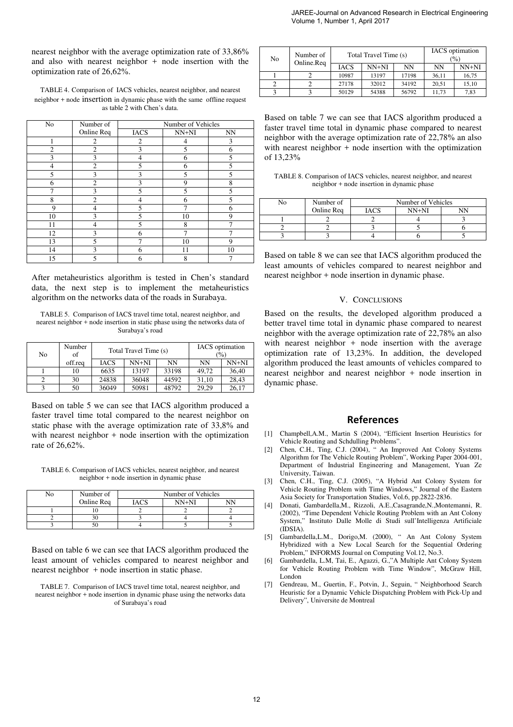nearest neighbor with the average optimization rate of 33,86% and also with nearest neighbor + node insertion with the optimization rate of 26,62%.

TABLE 4. Comparison of IACS vehicles, nearest neighbor, and nearest neighbor + node insertion in dynamic phase with the same offline request as table 2 with Chen's data.

| No             | Number of      | Number of Vehicles |                |           |  |  |
|----------------|----------------|--------------------|----------------|-----------|--|--|
|                | Online Req     | <b>IACS</b>        | $NN+NI$        | <b>NN</b> |  |  |
|                | $\overline{c}$ | $\overline{2}$     | 4              | 3         |  |  |
| $\overline{2}$ | $\overline{2}$ | 3                  | 5              | 6         |  |  |
| 3              | 3              | $\overline{4}$     | 6              | 5         |  |  |
| 4              | $\overline{2}$ | 5                  | 6              | 5         |  |  |
| 5              | 3              | 3                  | 5              | 5         |  |  |
| 6              | $\overline{c}$ | 3                  | 9              | 8         |  |  |
| 7              | 3              | 5                  | 5              | 5         |  |  |
| 8              | $\overline{2}$ | 4                  | 6              | 5         |  |  |
| 9              | $\overline{4}$ | 5                  | 7              | 6         |  |  |
| 10             | 3              | 5                  | 10             | 9         |  |  |
| 11             | 4              | 5                  | 8              | 7         |  |  |
| 12             | 3              | 6                  | $\overline{7}$ | 7         |  |  |
| 13             | 5              | 7                  | 10             | 9         |  |  |
| 14             | 3              | 6                  | 11             | 10        |  |  |
| 15             | 5              | 6                  | 8              | 7         |  |  |

After metaheuristics algorithm is tested in Chen's standard data, the next step is to implement the metaheuristics algorithm on the networks data of the roads in Surabaya.

TABLE 5. Comparison of IACS travel time total, nearest neighbor, and nearest neighbor + node insertion in static phase using the networks data of Surabaya's road

| No | Number<br>οf |             | Total Travel Time (s) |       | <b>IACS</b> optimation<br>(9) |         |
|----|--------------|-------------|-----------------------|-------|-------------------------------|---------|
|    | off.rea      | <b>IACS</b> | $NN+NI$               | NN    | <b>NN</b>                     | $NN+NI$ |
|    | 10           | 6635        | 13197                 | 33198 | 49.72                         | 36,40   |
|    | 30           | 24838       | 36048                 | 44592 | 31.10                         | 28.43   |
|    | 50           | 36049       | 50981                 | 48792 | 29.29                         | 26,17   |

Based on table 5 we can see that IACS algorithm produced a faster travel time total compared to the nearest neighbor on static phase with the average optimization rate of 33,8% and with nearest neighbor + node insertion with the optimization rate of 26,62%.

TABLE 6. Comparison of IACS vehicles, nearest neighbor, and nearest neighbor + node insertion in dynamic phase

| N٥ | Number of  | Number of Vehicles           |  |  |  |  |
|----|------------|------------------------------|--|--|--|--|
|    | Online Req | <b>IACS</b><br>$NN+NI$<br>NN |  |  |  |  |
|    |            |                              |  |  |  |  |
|    |            |                              |  |  |  |  |
|    |            |                              |  |  |  |  |

Based on table 6 we can see that IACS algorithm produced the least amount of vehicles compared to nearest neighbor and nearest neighbor + node insertion in static phase.

TABLE 7. Comparison of IACS travel time total, nearest neighbor, and nearest neighbor + node insertion in dynamic phase using the networks data of Surabaya's road

| No | Number of<br>Online.Req | Total Travel Time (s) |         |           | <b>IACS</b> optimation<br>(%) |         |
|----|-------------------------|-----------------------|---------|-----------|-------------------------------|---------|
|    |                         | <b>IACS</b>           | $NN+NI$ | <b>NN</b> | <b>NN</b>                     | $NN+NI$ |
|    |                         | 10987                 | 13197   | 17198     | 36.11                         | 16.75   |
|    |                         | 27178                 | 32012   | 34192     | 20.51                         | 15,10   |
|    |                         | 50129                 | 54388   | 56792     | 11.73                         | 7,83    |

Based on table 7 we can see that IACS algorithm produced a faster travel time total in dynamic phase compared to nearest neighbor with the average optimization rate of 22,78% an also with nearest neighbor + node insertion with the optimization of 13,23%

TABLE 8. Comparison of IACS vehicles, nearest neighbor, and nearest neighbor + node insertion in dynamic phase

| NO. | Number of  | Number of Vehicles |  |  |  |  |
|-----|------------|--------------------|--|--|--|--|
|     | Online Req | <b>IACS</b>        |  |  |  |  |
|     |            |                    |  |  |  |  |
|     |            |                    |  |  |  |  |
|     |            |                    |  |  |  |  |

Based on table 8 we can see that IACS algorithm produced the least amounts of vehicles compared to nearest neighbor and nearest neighbor + node insertion in dynamic phase.

# V. CONCLUSIONS

Based on the results, the developed algorithm produced a better travel time total in dynamic phase compared to nearest neighbor with the average optimization rate of 22,78% an also with nearest neighbor + node insertion with the average optimization rate of 13,23%. In addition, the developed algorithm produced the least amounts of vehicles compared to nearest neighbor and nearest neighbor + node insertion in dynamic phase.

# **References**

- [1] Champbell, A.M., Martin S (2004), "Efficient Insertion Heuristics for Vehicle Routing and Schdulling Problems".
- [2] Chen, C.H., Ting, C.J. (2004), " An Improved Ant Colony Systems Algorithm for The Vehicle Routing Problem", Working Paper 2004-001, Department of Industrial Engineering and Management, Yuan Ze University, Taiwan.
- [3] Chen, C.H., Ting, C.J. (2005), "A Hybrid Ant Colony System for Vehicle Routing Problem with Time Windows," Journal of the Eastern Asia Society for Transportation Studies, Vol.6, pp.2822-2836.
- [4] Donati, Gambardella,M., Rizzoli, A.E.,Casagrande,N.,Montemanni, R. (2002), "Time Dependent Vehicle Routing Problem with an Ant Colony System," Instituto Dalle Molle di Studi sull'Intelligenza Artificiale (IDSIA).
- [5] Gambardella,L.M., Dorigo,M. (2000), " An Ant Colony System Hybridized with a New Local Search for the Sequential Ordering Problem," INFORMS Journal on Computing Vol.12, No.3.
- [6] Gambardella, L.M, Tai, E., Agazzi, G.,"A Multiple Ant Colony System for Vehicle Routing Problem with Time Window", McGraw Hill, London
- [7] Gendreau, M., Guertin, F., Potvin, J., Seguin, " Neighborhood Search Heuristic for a Dynamic Vehicle Dispatching Problem with Pick-Up and Delivery", Universite de Montreal